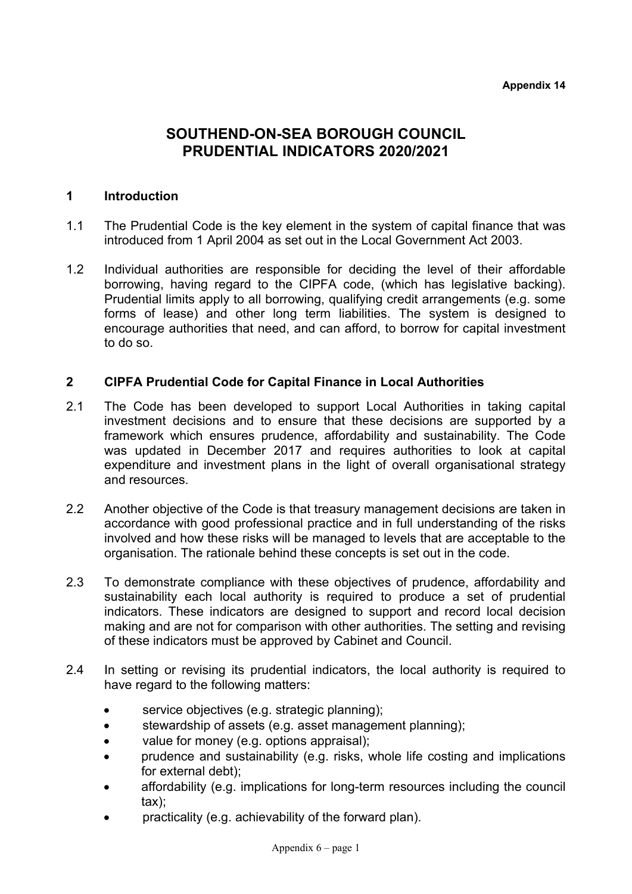# **SOUTHEND-ON-SEA BOROUGH COUNCIL PRUDENTIAL INDICATORS 2020/2021**

## **1 Introduction**

- 1.1 The Prudential Code is the key element in the system of capital finance that was introduced from 1 April 2004 as set out in the Local Government Act 2003.
- 1.2 Individual authorities are responsible for deciding the level of their affordable borrowing, having regard to the CIPFA code, (which has legislative backing). Prudential limits apply to all borrowing, qualifying credit arrangements (e.g. some forms of lease) and other long term liabilities. The system is designed to encourage authorities that need, and can afford, to borrow for capital investment to do so.

## **2 CIPFA Prudential Code for Capital Finance in Local Authorities**

- 2.1 The Code has been developed to support Local Authorities in taking capital investment decisions and to ensure that these decisions are supported by a framework which ensures prudence, affordability and sustainability. The Code was updated in December 2017 and requires authorities to look at capital expenditure and investment plans in the light of overall organisational strategy and resources.
- 2.2 Another objective of the Code is that treasury management decisions are taken in accordance with good professional practice and in full understanding of the risks involved and how these risks will be managed to levels that are acceptable to the organisation. The rationale behind these concepts is set out in the code.
- 2.3 To demonstrate compliance with these objectives of prudence, affordability and sustainability each local authority is required to produce a set of prudential indicators. These indicators are designed to support and record local decision making and are not for comparison with other authorities. The setting and revising of these indicators must be approved by Cabinet and Council.
- 2.4 In setting or revising its prudential indicators, the local authority is required to have regard to the following matters:
	- service objectives (e.g. strategic planning);
	- stewardship of assets (e.g. asset management planning);
	- value for money (e.g. options appraisal);
	- prudence and sustainability (e.g. risks, whole life costing and implications for external debt);
	- affordability (e.g. implications for long-term resources including the council tax);
	- practicality (e.g. achievability of the forward plan).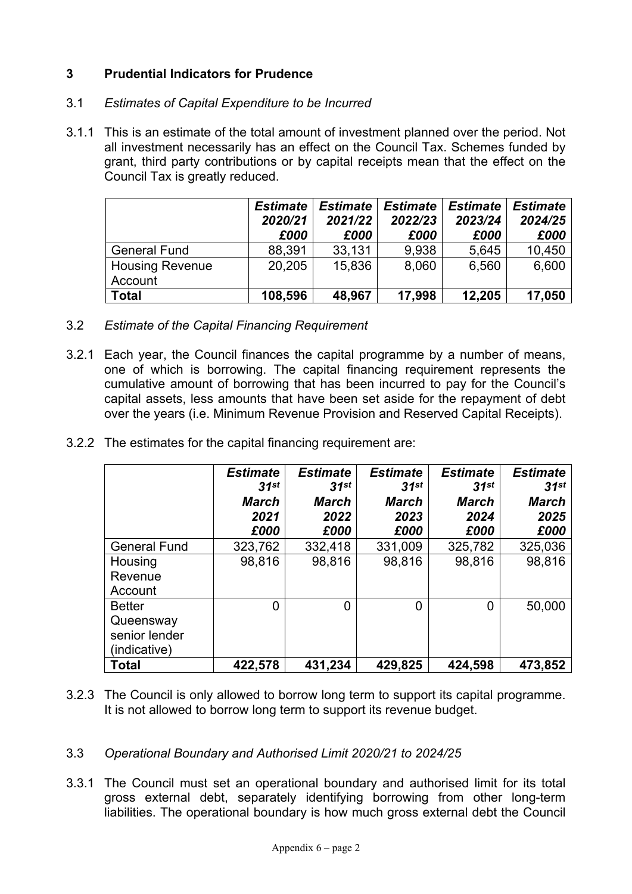## **3 Prudential Indicators for Prudence**

## 3.1 *Estimates of Capital Expenditure to be Incurred*

3.1.1 This is an estimate of the total amount of investment planned over the period. Not all investment necessarily has an effect on the Council Tax. Schemes funded by grant, third party contributions or by capital receipts mean that the effect on the Council Tax is greatly reduced.

|                                   | <b>Estimate</b><br>2020/21<br>£000 | <b>Estimate</b><br>2021/22<br>£000 | <b>Estimate</b><br>2022/23<br>£000 | <b>Estimate</b><br>2023/24<br>£000 | <b>Estimate</b><br>2024/25<br>£000 |
|-----------------------------------|------------------------------------|------------------------------------|------------------------------------|------------------------------------|------------------------------------|
| <b>General Fund</b>               | 88,391                             | 33,131                             | 9,938                              | 5,645                              | 10,450                             |
| <b>Housing Revenue</b><br>Account | 20,205                             | 15,836                             | 8,060                              | 6,560                              | 6,600                              |
| Total                             | 108,596                            | 48,967                             | 17,998                             | 12,205                             | 17,050                             |

- 3.2 *Estimate of the Capital Financing Requirement*
- 3.2.1 Each year, the Council finances the capital programme by a number of means, one of which is borrowing. The capital financing requirement represents the cumulative amount of borrowing that has been incurred to pay for the Council's capital assets, less amounts that have been set aside for the repayment of debt over the years (i.e. Minimum Revenue Provision and Reserved Capital Receipts).
- 3.2.2 The estimates for the capital financing requirement are:

|                                                             | <b>Estimate</b><br>31st<br><b>March</b><br>2021<br>£000 | <b>Estimate</b><br>$31$ st<br><b>March</b><br>2022<br>£000 | <b>Estimate</b><br>31 <sup>st</sup><br><b>March</b><br>2023<br>£000 | <b>Estimate</b><br>31st<br><b>March</b><br>2024<br>£000 | <b>Estimate</b><br>31 <sup>st</sup><br><b>March</b><br>2025<br>£000 |
|-------------------------------------------------------------|---------------------------------------------------------|------------------------------------------------------------|---------------------------------------------------------------------|---------------------------------------------------------|---------------------------------------------------------------------|
| <b>General Fund</b>                                         | 323,762                                                 | 332,418                                                    | 331,009                                                             | 325,782                                                 | 325,036                                                             |
| Housing<br>Revenue<br>Account                               | 98,816                                                  | 98,816                                                     | 98,816                                                              | 98,816                                                  | 98,816                                                              |
| <b>Better</b><br>Queensway<br>senior lender<br>(indicative) | 0                                                       | 0                                                          | 0                                                                   | 0                                                       | 50,000                                                              |
| <b>Total</b>                                                | 422,578                                                 | 431,234                                                    | 429,825                                                             | 424,598                                                 | 473,852                                                             |

- 3.2.3 The Council is only allowed to borrow long term to support its capital programme. It is not allowed to borrow long term to support its revenue budget.
- 3.3 *Operational Boundary and Authorised Limit 2020/21 to 2024/25*
- 3.3.1 The Council must set an operational boundary and authorised limit for its total gross external debt, separately identifying borrowing from other long-term liabilities. The operational boundary is how much gross external debt the Council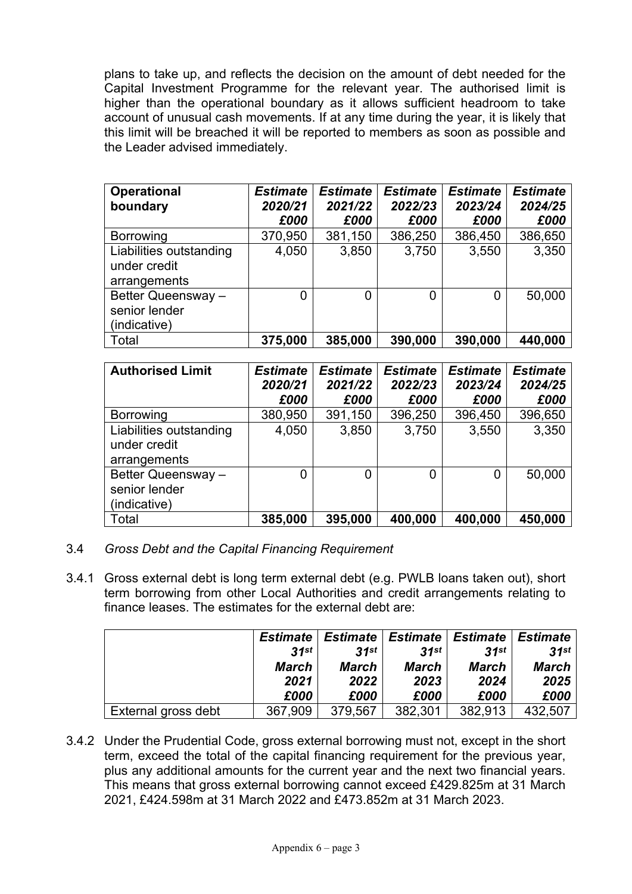plans to take up, and reflects the decision on the amount of debt needed for the Capital Investment Programme for the relevant year. The authorised limit is higher than the operational boundary as it allows sufficient headroom to take account of unusual cash movements. If at any time during the year, it is likely that this limit will be breached it will be reported to members as soon as possible and the Leader advised immediately.

| <b>Operational</b><br>boundary                          | <b>Estimate</b><br>2020/21<br>£000 | <b>Estimate</b><br>2021/22<br>£000 | <b>Estimate</b><br>2022/23<br>£000 | <b>Estimate</b><br>2023/24<br>£000 | <b>Estimate</b><br>2024/25<br>£000 |
|---------------------------------------------------------|------------------------------------|------------------------------------|------------------------------------|------------------------------------|------------------------------------|
| <b>Borrowing</b>                                        | 370,950                            | 381,150                            | 386,250                            | 386,450                            | 386,650                            |
| Liabilities outstanding<br>under credit<br>arrangements | 4,050                              | 3,850                              | 3,750                              | 3,550                              | 3,350                              |
| Better Queensway -<br>senior lender<br>(indicative)     | 0                                  | 0                                  | 0                                  |                                    | 50,000                             |
| Total                                                   | 375,000                            | 385,000                            | 390,000                            | 390,000                            | 440,000                            |

| <b>Authorised Limit</b>                                 | <b>Estimate</b><br>2020/21<br>£000 | <b>Estimate</b><br>2021/22<br>£000 | <b>Estimate</b><br>2022/23<br>£000 | <b>Estimate</b><br>2023/24<br>£000 | <b>Estimate</b><br>2024/25<br>£000 |
|---------------------------------------------------------|------------------------------------|------------------------------------|------------------------------------|------------------------------------|------------------------------------|
| <b>Borrowing</b>                                        | 380,950                            | 391,150                            | 396,250                            | 396,450                            | 396,650                            |
| Liabilities outstanding<br>under credit<br>arrangements | 4,050                              | 3,850                              | 3,750                              | 3,550                              | 3,350                              |
| Better Queensway -<br>senior lender<br>(indicative)     | 0                                  | 0                                  | 0                                  | 0                                  | 50,000                             |
| Total                                                   | 385,000                            | 395,000                            | 400,000                            | 400,000                            | 450,000                            |

- 3.4 *Gross Debt and the Capital Financing Requirement*
- 3.4.1 Gross external debt is long term external debt (e.g. PWLB loans taken out), short term borrowing from other Local Authorities and credit arrangements relating to finance leases. The estimates for the external debt are:

|                     | <b>Estimate</b> | Estimate | Estimate | ∣ <i>Estimat</i> e ∣ | Estimate     |
|---------------------|-----------------|----------|----------|----------------------|--------------|
|                     | .31st           | 31st     | 31st     | 31st                 | 31st         |
|                     | March           | March    | March    | March                | <b>March</b> |
|                     | 2021            | 2022     | 2023     | 2024                 | 2025         |
|                     | £000            | £000     | £000     | £000                 | £000         |
| External gross debt | 367,909         | 379,567  | 382,301  | 382.913              | 432.507      |

3.4.2 Under the Prudential Code, gross external borrowing must not, except in the short term, exceed the total of the capital financing requirement for the previous year, plus any additional amounts for the current year and the next two financial years. This means that gross external borrowing cannot exceed £429.825m at 31 March 2021, £424.598m at 31 March 2022 and £473.852m at 31 March 2023.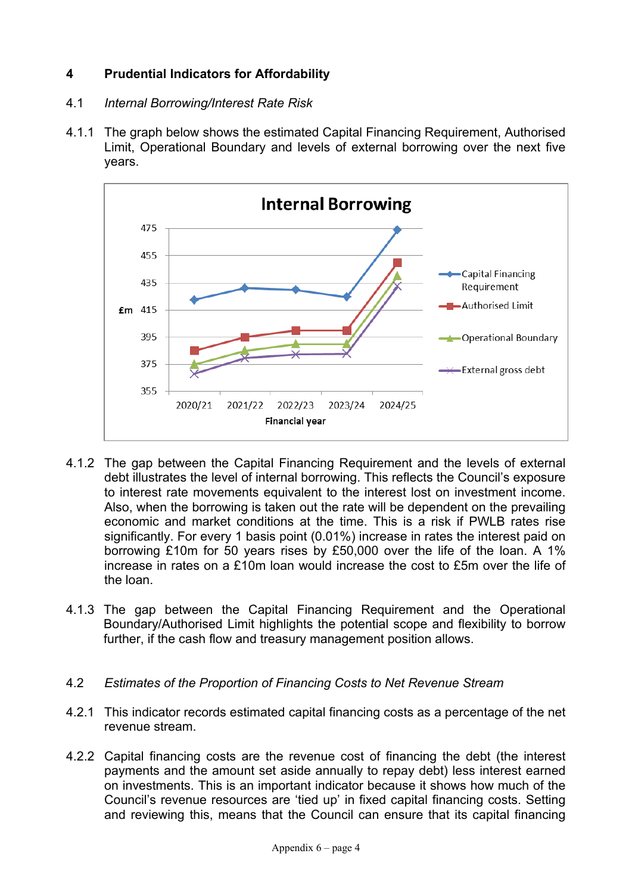## **4 Prudential Indicators for Affordability**

## 4.1 *Internal Borrowing/Interest Rate Risk*

4.1.1 The graph below shows the estimated Capital Financing Requirement, Authorised Limit, Operational Boundary and levels of external borrowing over the next five years.



- 4.1.2 The gap between the Capital Financing Requirement and the levels of external debt illustrates the level of internal borrowing. This reflects the Council's exposure to interest rate movements equivalent to the interest lost on investment income. Also, when the borrowing is taken out the rate will be dependent on the prevailing economic and market conditions at the time. This is a risk if PWLB rates rise significantly. For every 1 basis point (0.01%) increase in rates the interest paid on borrowing £10m for 50 years rises by £50,000 over the life of the loan. A 1% increase in rates on a £10m loan would increase the cost to £5m over the life of the loan.
- 4.1.3 The gap between the Capital Financing Requirement and the Operational Boundary/Authorised Limit highlights the potential scope and flexibility to borrow further, if the cash flow and treasury management position allows.

## 4.2 *Estimates of the Proportion of Financing Costs to Net Revenue Stream*

- 4.2.1 This indicator records estimated capital financing costs as a percentage of the net revenue stream.
- 4.2.2 Capital financing costs are the revenue cost of financing the debt (the interest payments and the amount set aside annually to repay debt) less interest earned on investments. This is an important indicator because it shows how much of the Council's revenue resources are 'tied up' in fixed capital financing costs. Setting and reviewing this, means that the Council can ensure that its capital financing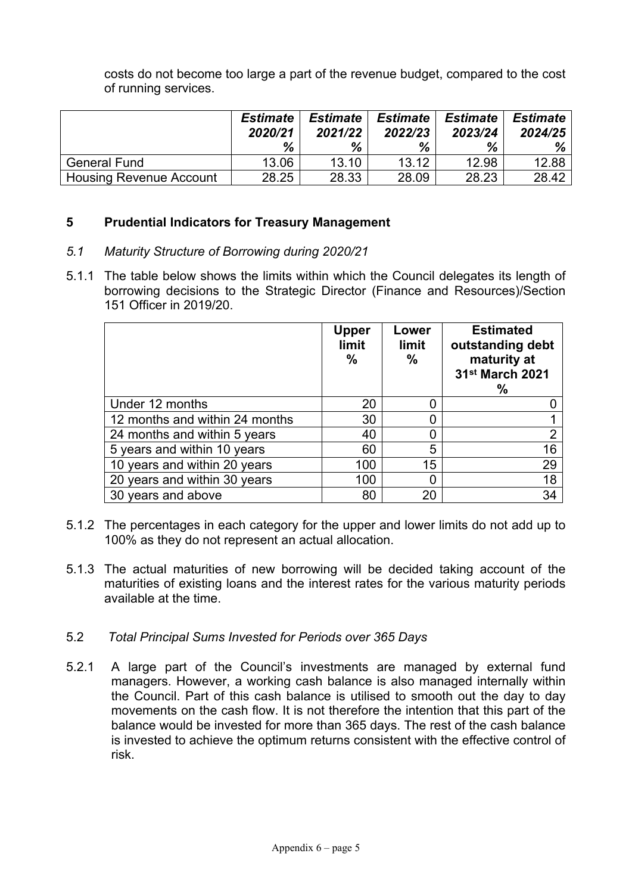costs do not become too large a part of the revenue budget, compared to the cost of running services.

|                                | <b>Estimate</b><br>2020/21<br>% | <b>Estimate</b><br>2021/22<br>% | <b>Estimate</b><br>2022/23<br>% | <b>Estimate</b><br>2023/24<br>% | <b>Estimate</b><br>2024/25<br>$% \mid$ |
|--------------------------------|---------------------------------|---------------------------------|---------------------------------|---------------------------------|----------------------------------------|
| <b>General Fund</b>            | 13.06                           | 13.10                           | 13.12                           | 12.98                           | 12.88                                  |
| <b>Housing Revenue Account</b> | 28.25                           | 28.33                           | 28.09                           | 28.23                           | 28.42                                  |

## **5 Prudential Indicators for Treasury Management**

### *5.1 Maturity Structure of Borrowing during 2020/21*

5.1.1 The table below shows the limits within which the Council delegates its length of borrowing decisions to the Strategic Director (Finance and Resources)/Section 151 Officer in 2019/20.

|                                | <b>Upper</b><br>limit<br>$\frac{0}{0}$ | Lower<br>limit<br>% | <b>Estimated</b><br>outstanding debt<br>maturity at<br>31 <sup>st</sup> March 2021<br>℅ |
|--------------------------------|----------------------------------------|---------------------|-----------------------------------------------------------------------------------------|
| Under 12 months                | 20                                     | 0                   |                                                                                         |
| 12 months and within 24 months | 30                                     |                     |                                                                                         |
| 24 months and within 5 years   | 40                                     | O                   | $\overline{2}$                                                                          |
| 5 years and within 10 years    | 60                                     | 5                   | 16                                                                                      |
| 10 years and within 20 years   | 100                                    | 15                  | 29                                                                                      |
| 20 years and within 30 years   | 100                                    | 0                   | 18                                                                                      |
| 30 years and above             | 80                                     | 20                  | 34                                                                                      |

- 5.1.2 The percentages in each category for the upper and lower limits do not add up to 100% as they do not represent an actual allocation.
- 5.1.3 The actual maturities of new borrowing will be decided taking account of the maturities of existing loans and the interest rates for the various maturity periods available at the time.

### 5.2 *Total Principal Sums Invested for Periods over 365 Days*

5.2.1 A large part of the Council's investments are managed by external fund managers. However, a working cash balance is also managed internally within the Council. Part of this cash balance is utilised to smooth out the day to day movements on the cash flow. It is not therefore the intention that this part of the balance would be invested for more than 365 days. The rest of the cash balance is invested to achieve the optimum returns consistent with the effective control of risk.